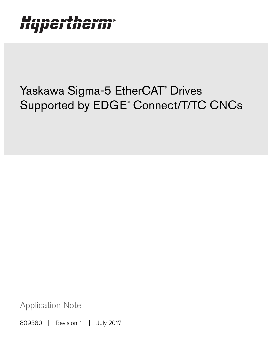# Hypertherm®

## Yaskawa Sigma-5 EtherCAT® Drives Supported by EDGE® Connect/T/TC CNCs

Application Note

809580 | Revision 1 | July 2017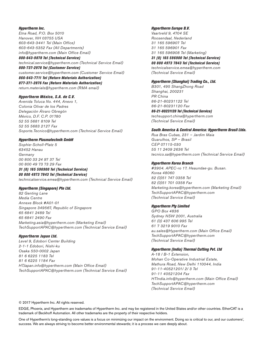#### Hypertherm Inc.

Etna Road, P.O. Box 5010 Hanover, NH 03755 USA 603-643-3441 Tel (Main Office) 603-643-5352 Fax (All Departments) info@hypertherm.com (Main Office Email)

800-643-9878 Tel (Technical Service) technical.service@hypertherm.com (Technical Service Email) 800-737-2978 Tel (Customer Service)

customer.service@hypertherm.com (Customer Service Email)

866-643-7711 Tel (Return Materials Authorization) 877-371-2876 Fax (Return Materials Authorization) return.materials@hypertherm.com (RMA email)

#### Hypertherm México, S.A. de C.V.

Avenida Toluca No. 444, Anexo 1, Colonia Olivar de los Padres Delegación Álvaro Obregón México, D.F. C.P. 01780 52 55 5681 8109 Tel 52 55 5683 2127 Fax Soporte.Tecnico@hypertherm.com (Technical Service Email)

#### Hypertherm Plasmatechnik GmbH

Sophie-Scholl-Platz 5 63452 Hanau **Germany** 00 800 33 24 97 37 Tel 00 800 49 73 73 29 Fax

#### 31 (0) 165 596900 Tel (Technical Service)

00 800 4973 7843 Tel (Technical Service) technicalservice.emea@hypertherm.com (Technical Service Email)

#### Hypertherm (Singapore) Pte Ltd.

82 Genting Lane Media Centre Annexe Block #A01-01 Singapore 349567, Republic of Singapore 65 6841 2489 Tel 65 6841 2490 Fax Marketing.asia@hypertherm.com (Marketing Email) TechSupportAPAC@hypertherm.com (Technical Service Email)

#### Hypertherm Japan Ltd.

Level 9, Edobori Center Building 2-1-1 Edobori, Nishi-ku Osaka 550-0002 Japan 81 6 6225 1183 Tel 81 6 6225 1184 Fax HTJapan.info@hypertherm.com (Main Office Email) TechSupportAPAC@hypertherm.com (Technical Service Email)

#### Hypertherm Europe B.V.

Vaartveld 9, 4704 SE Roosendaal, Nederland 31 165 596907 Tel 31 165 596901 Fax 31 165 596908 Tel (Marketing) 31 (0) 165 596900 Tel (Technical Service) 00 800 4973 7843 Tel (Technical Service)

technicalservice.emea@hypertherm.com (Technical Service Email)

#### Hypertherm (Shanghai) Trading Co., Ltd.

B301, 495 ShangZhong Road Shanghai, 200231 PR China 86-21-80231122 Tel 86-21-80231120 Fax

86-21-80231128 Tel (Technical Service) techsupport.china@hypertherm.com (Technical Service Email)

#### South America & Central America: Hypertherm Brasil Ltda.

Rua Bras Cubas, 231 – Jardim Maia Guarulhos, SP – Brasil CEP 07115-030 55 11 2409 2636 Tel tecnico.sa@hypertherm.com (Technical Service Email)

#### Hypertherm Korea Branch

#3904. APEC-ro 17. Heaundae-gu. Busan. Korea 48060 82 (0)51 747 0358 Tel 82 (0)51 701 0358 Fax Marketing.korea@hypertherm.com (Marketing Email) TechSupportAPAC@hypertherm.com (Technical Service Email)

#### Hypertherm Pty Limited

GPO Box 4836 Sydney NSW 2001, Australia 61 (0) 437 606 995 Tel 61 7 3219 9010 Fax au.sales@Hypertherm.com (Main Office Email) TechSupportAPAC@hypertherm.com (Technical Service Email)

#### Hypertherm (India) Thermal Cutting Pvt. Ltd

A-18 / B-1 Extension, Mohan Co-Operative Industrial Estate, Mathura Road, New Delhi 110044, India 91-11-40521201/ 2/ 3 Tel 91-11 40521204 Fax HTIndia.info@hypertherm.com (Main Office Email) TechSupportAPAC@hypertherm.com (Technical Service Email)

© 2017 Hypertherm Inc. All rights reserved.

EDGE, Phoenix, and Hypertherm are trademarks of Hypertherm Inc. and may be registered in the United States and/or other countries. EtherCAT is a trademark of Beckhoff Automation. All other trademarks are the property of their respective holders.

One of Hypertherm's long-standing core values is a focus on minimizing our impact on the environment. Doing so is critical to our, and our customers', success. We are always striving to become better environmental stewards; it is a process we care deeply about.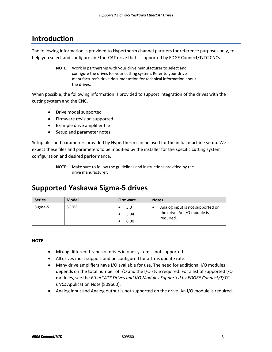## **Introduction**

The following information is provided to Hypertherm channel partners for reference purposes only, to help you select and configure an EtherCAT drive that is supported by EDGE Connect/T/TC CNCs.

> **NOTE:** Work in partnership with your drive manufacturer to select and configure the drives for your cutting system. Refer to your drive manufacturer's drive documentation for technical information about the drives.

When possible, the following information is provided to support integration of the drives with the cutting system and the CNC.

- Drive model supported
- Firmware revision supported
- Example drive amplifier file
- Setup and parameter notes

Setup files and parameters provided by Hypertherm can be used for the initial machine setup. We expect these files and parameters to be modified by the installer for the specific cutting system configuration and desired performance.

## **Supported Yaskawa Sigma‐5 drives**

| <b>Series</b> | <b>Model</b> | <b>Firmware</b>     | <b>Notes</b>                                                                      |
|---------------|--------------|---------------------|-----------------------------------------------------------------------------------|
| Sigma-5       | SGDV         | 5.0<br>5.04<br>6.00 | Analog input is not supported on<br>٠<br>the drive. An I/O module is<br>reguired. |

**NOTE:**

- Mixing different brands of drives in one system is not supported.
- All drives must support and be configured for a 1 ms update rate.
- Many drive amplifiers have I/O available for use. The need for additional I/O modules depends on the total number of I/O and the I/O style required. For a list of supported I/O modules, see the *EtherCAT® Drives and I/O Modules Supported by EDGE® Connect/T/TC CNCs* Application Note (809660).
- Analog input and Analog output is not supported on the drive. An I/O module is required.

**NOTE:** Make sure to follow the guidelines and instructions provided by the drive manufacturer.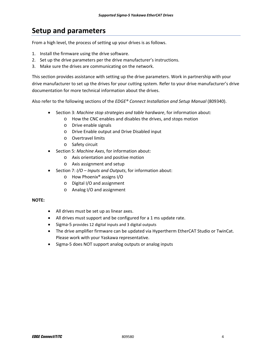## **Setup and parameters**

From a high level, the process of setting up your drives is as follows.

- 1. Install the firmware using the drive software.
- 2. Set up the drive parameters per the drive manufacturer's instructions.
- 3. Make sure the drives are communicating on the network.

This section provides assistance with setting up the drive parameters. Work in partnership with your drive manufacturer to set up the drives for your cutting system. Refer to your drive manufacturer's drive documentation for more technical information about the drives.

Also refer to the following sections of the *EDGE® Connect Installation and Setup Manual* (809340).

- Section 3: *Machine stop strategies and table hardware*, for information about:
	- o How the CNC enables and disables the drives, and stops motion
	- o Drive enable signals
	- o Drive Enable output and Drive Disabled input
	- o Overtravel limits
	- o Safety circuit
- Section 5: *Machine Axes*, for information about:
	- o Axis orientation and positive motion
	- o Axis assignment and setup
- Section 7: *I/O – Inputs and Outputs*, for information about:
	- o How Phoenix® assigns I/O
	- o Digital I/O and assignment
	- o Analog I/O and assignment

#### **NOTE:**

- All drives must be set up as linear axes.
- All drives must support and be configured for a 1 ms update rate.
- Sigma-5 provides 12 digital inputs and 3 digital outputs
- The drive amplifier firmware can be updated via Hypertherm EtherCAT Studio or TwinCat. Please work with your Yaskawa representative.
- Sigma-5 does NOT support analog outputs or analog inputs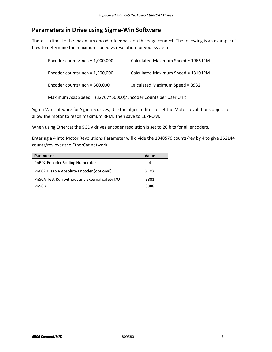### **Parameters in Drive using Sigma‐Win Software**

There is a limit to the maximum encoder feedback on the edge connect. The following is an example of how to determine the maximum speed vs resolution for your system.

| Encoder counts/inch = $1,000,000$                               | Calculated Maximum Speed = 1966 IPM |  |  |
|-----------------------------------------------------------------|-------------------------------------|--|--|
| Encoder counts/inch = $1,500,000$                               | Calculated Maximum Speed = 1310 IPM |  |  |
| Encoder counts/inch = $500,000$                                 | Calculated Maximum Speed = 3932     |  |  |
| Maximum Axis Speed = (32767*60000)/Encoder Counts per User Unit |                                     |  |  |

Sigma‐Win software for Sigma‐5 drives, Use the object editor to set the Motor revolutions object to allow the motor to reach maximum RPM. Then save to EEPROM.

When using Ethercat the SGDV drives encoder resolution is set to 20 bits for all encoders.

Entering a 4 into Motor Revolutions Parameter will divide the 1048576 counts/rev by 4 to give 262144 counts/rev over the EtherCat network.

| Parameter                                      | Value                         |
|------------------------------------------------|-------------------------------|
| PnB02 Encoder Scaling Numerator                |                               |
| Pn002 Disable Absolute Encoder (optional)      | X <sub>1</sub> X <sub>X</sub> |
| Pn50A Test Run without any external safety I/O | 8881                          |
| Pn50B                                          | 8888                          |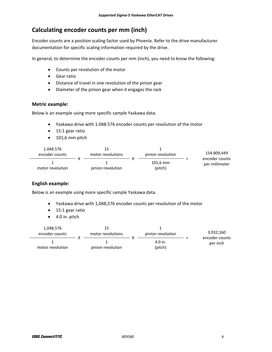## **Calculating encoder counts per mm (inch)**

Encoder counts are a position scaling factor used by Phoenix. Refer to the drive manufacturer documentation for specific scaling information required by the drive.

In general, to determine the encoder counts per mm (inch), you need to know the following:

- Counts per revolution of the motor
- Gear ratio
- Distance of travel in one revolution of the pinion gear
- Diameter of the pinion gear when it engages the rack

#### **Metric example:**

Below is an example using more specific sample Yaskawa data.

- Yaskawa drive with 1.048.576 encoder counts per revolution of the motor
- 15:1 gear ratio
- $\bullet$  101,6 mm pitch

| 1.048.576<br>encoder counts | motor revolutions |  | pinion revolution     |  | 154.809,449<br>encoder counts |
|-----------------------------|-------------------|--|-----------------------|--|-------------------------------|
| motor revolution            | pinion revolution |  | $101.6$ mm<br>(pitch) |  | per millimeter                |

#### **English example:**

Below is an example using more specific sample Yaskawa data.

- Yaskawa drive with 1,048,576 encoder counts per revolution of the motor
- 15:1 gear ratio
- 4.0 in. pitch

| 1,048,576<br>encoder counts | motor revolutions | pinion revolution  |  | 3,932,160<br>encoder counts<br>per inch |
|-----------------------------|-------------------|--------------------|--|-----------------------------------------|
| motor revolution            | pinion revolution | 4.0 in.<br>(pitch) |  |                                         |